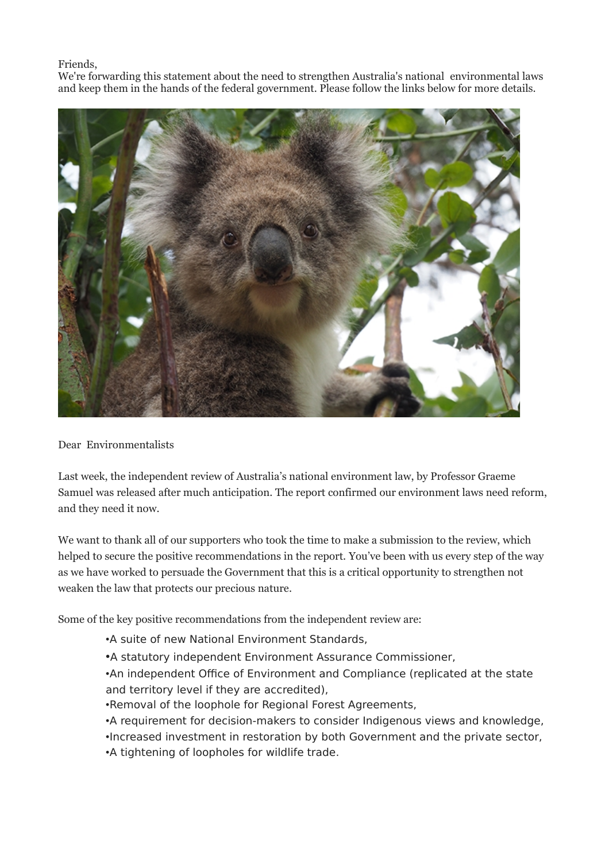## Friends,

We're forwarding this statement about the need to strengthen Australia's national environmental laws and keep them in the hands of the federal government. Please follow the links below for more details.



## Dear Environmentalists

Last week, the independent review of Australia's national environment law, by Professor Graeme Samuel was released after much anticipation. The report confirmed our environment laws need reform, and they need it now.

We want to thank all of our supporters who took the time to make a submission to the review, which helped to secure the positive recommendations in the report. You've been with us every step of the way as we have worked to persuade the Government that this is a critical opportunity to strengthen not weaken the law that protects our precious nature.

Some of the key positive recommendations from the independent review are:

- •A suite of new National Environment Standards,
- •A statutory independent Environment Assurance Commissioner,
- •An independent Office of Environment and Compliance (replicated at the state and territory level if they are accredited),
- •Removal of the loophole for Regional Forest Agreements,
- •A requirement for decision-makers to consider Indigenous views and knowledge,
- •Increased investment in restoration by both Government and the private sector,
- •A tightening of loopholes for wildlife trade.